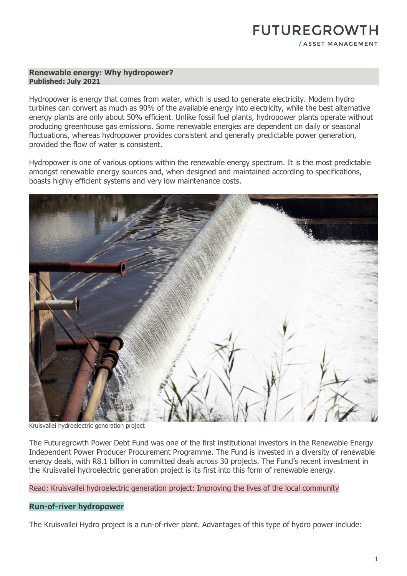# **FUTUREGROWTH** / ASSET MANAGEMENT

#### **Renewable energy: Why hydropower? Published: July 2021**

Hydropower is energy that comes from water, which is used to generate electricity. Modern hydro turbines can convert as much as 90% of the available energy into electricity, while the best alternative energy plants are only about 50% efficient. Unlike fossil fuel plants, hydropower plants operate without producing greenhouse gas emissions. Some renewable energies are dependent on daily or seasonal fluctuations, whereas hydropower provides consistent and generally predictable power generation, provided the flow of water is consistent.

Hydropower is one of various options within the renewable energy spectrum. It is the most predictable amongst renewable energy sources and, when designed and maintained according to specifications, boasts highly efficient systems and very low maintenance costs.



Kruisvallei hydroelectric generation project

The Futuregrowth Power Debt Fund was one of the first institutional investors in the Renewable Energy Independent Power Producer Procurement Programme. The Fund is invested in a diversity of renewable energy deals, with R8.1 billion in committed deals across 30 projects. The Fund's recent investment in the Kruisvallei hydroelectric generation project is its first into this form of renewable energy.

[Read: Kruisvallei hydroelectric generation project: Improving the lives of the local community](https://www.futuregrowth.co.za/insights/kruisvallei-hydroelectric-generation-project-improving-the-lives-of-the-local-community/)

## **Run-of-river hydropower**

The Kruisvallei Hydro project is a run-of-river plant. Advantages of this type of hydro power include: